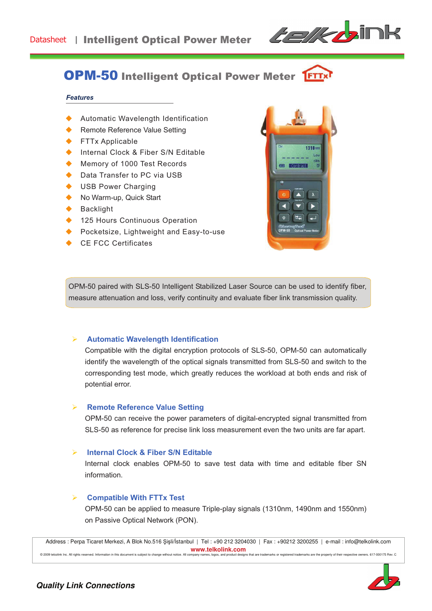

# OPM-50 Intelligent Optical Power Meter

#### **Features**

- Automatic Wavelength Identification
- **Remote Reference Value Setting**

- ◆ FTTx Applicable
- Internal Clock & Fiber S/N Editable
- Memory of 1000 Test Records
- Data Transfer to PC via USB
- USB Power Charging
- No Warm-up, Quick Start
- **Backlight**
- 125 Hours Continuous Operation
- Pocketsize, Lightweight and Easy-to-use
- **CE FCC Certificates**



OPM-50 paired with SLS-50 Intelligent Stabilized Laser Source can be used to identify fiber, measure attenuation and loss, verify continuity and evaluate fiber link transmission quality.

#### **Automatic Wavelength Identification**

Compatible with the digital encryption protocols of SLS-50, OPM-50 can automatically identify the wavelength of the optical signals transmitted from SLS-50 and switch to the corresponding test mode, which greatly reduces the workload at both ends and risk of potential error.

### **Remote Reference Value Setting**

OPM-50 can receive the power parameters of digital-encrypted signal transmitted from SLS-50 as reference for precise link loss measurement even the two units are far apart.

#### **Internal Clock & Fiber S/N Editable**

Internal clock enables OPM-50 to save test data with time and editable fiber SN information.

### " **Compatible With FTTx Test**

OPM-50 can be applied to measure Triple-play signals (1310nm, 1490nm and 1550nm) on Passive Optical Network (PON).

Address : Perpa Ticaret Merkezi, A Blok No.516 Şişli/İstanbul | Tel : +90 212 3204030 | Fax : +90212 3200255 | e-mail : info@telkolink.com **www.telkolink.com**  @ 2009 telcolink Inc. All rights reserved. Information in this document is subject to change without notice. All company names, logos, and product designs that are trademarks or registered trademarks are the property of th